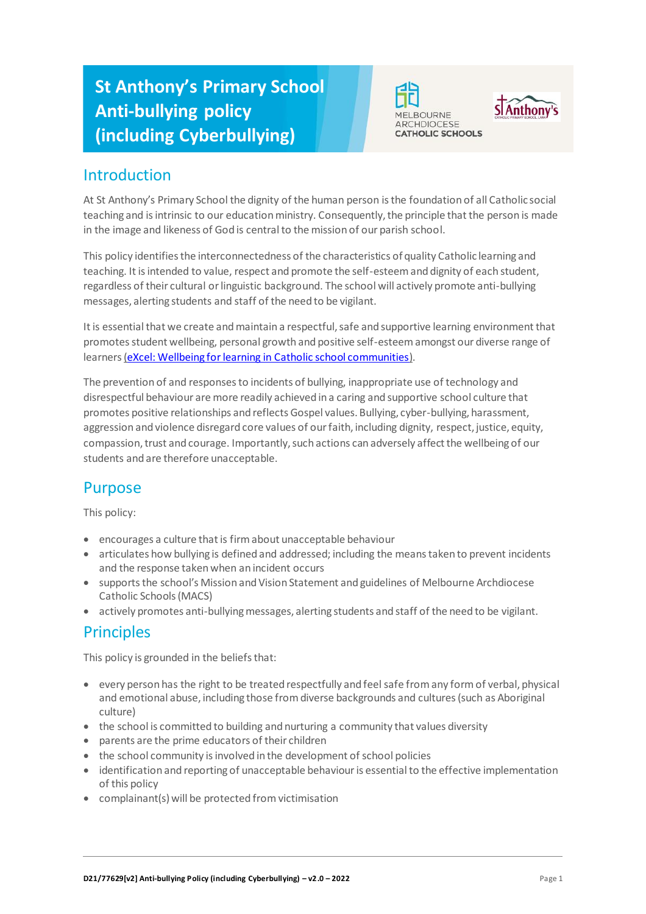# **St Anthony's Primary School Anti-bullying policy (including Cyberbullying)**





### Introduction

At St Anthony's Primary School the dignity of the human person is the foundation of all Catholic social teaching and is intrinsic to our education ministry. Consequently, the principle that the person is made in the image and likeness of God is central to the mission of our parish school.

This policy identifies the interconnectedness of the characteristics of quality Catholic learning and teaching. It is intended to value, respect and promote the self-esteem and dignity of each student, regardless of their cultural or linguistic background. The school will actively promote anti-bullying messages, alerting students and staff of the need to be vigilant.

It is essential that we create and maintain a respectful, safe and supportive learning environment that promotes student wellbeing, personal growth and positive self-esteem amongst our diverse range of learners [\(eXcel: Wellbeing for learning in Catholic school communities](https://cevn.cecv.catholic.edu.au/Melb/Student-Support/Student-Wellbeing/eXcel#excel:-wellbeing-for-learning-in-catholic-school-communities)).

The prevention of and responses to incidents of bullying, inappropriate use of technology and disrespectful behaviour are more readily achieved in a caring and supportive school culture that promotes positive relationships and reflects Gospel values. Bullying, cyber-bullying, harassment, aggression and violence disregard core values of our faith, including dignity, respect, justice, equity, compassion, trust and courage. Importantly, such actions can adversely affect the wellbeing of our students and are therefore unacceptable.

# Purpose

This policy:

- encourages a culture that is firm about unacceptable behaviour
- articulates how bullying is defined and addressed; including the means taken to prevent incidents and the response taken when an incident occurs
- supports the school's Mission and Vision Statement and guidelines of Melbourne Archdiocese Catholic Schools (MACS)
- actively promotes anti-bullying messages, alerting students and staff of the need to be vigilant.

## **Principles**

This policy is grounded in the beliefs that:

- every person has the right to be treated respectfully and feel safe from any form of verbal, physical and emotional abuse, including those from diverse backgrounds and cultures (such as Aboriginal culture)
- the school is committed to building and nurturing a community that values diversity
- parents are the prime educators of their children
- the school community is involved in the development of school policies
- identification and reporting of unacceptable behaviour is essential to the effective implementation of this policy
- complainant(s) will be protected from victimisation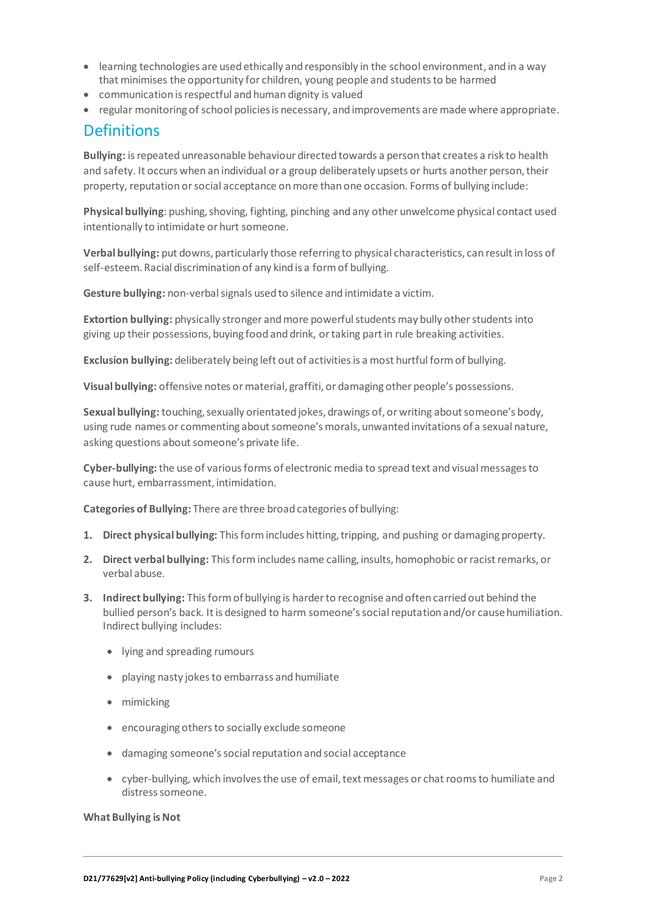- learning technologies are used ethically and responsibly in the school environment, and in a way that minimises the opportunity for children, young people and students to be harmed
- communication is respectful and human dignity is valued
- $\bullet$  regular monitoring of school policies is necessary, and improvements are made where appropriate.

### **Definitions**

**Bullying:** is repeated unreasonable behaviour directed towards a person that creates a risk to health and safety. It occurs when an individual or a group deliberately upsets or hurts another person, their property, reputation or social acceptance on more than one occasion. Forms of bullying include:

**Physical bullying**: pushing, shoving, fighting, pinching and any other unwelcome physical contact used intentionally to intimidate or hurt someone.

**Verbal bullying:** put downs, particularly those referring to physical characteristics, can result in loss of self-esteem. Racial discrimination of any kind is a form of bullying.

**Gesture bullying:** non-verbal signals used to silence and intimidate a victim.

**Extortion bullying:** physically stronger and more powerful students may bully other students into giving up their possessions, buying food and drink, or taking part in rule breaking activities.

**Exclusion bullying:** deliberately being left out of activities is a most hurtful form of bullying.

**Visual bullying:** offensive notes or material, graffiti, or damaging other people's possessions.

**Sexual bullying:** touching, sexually orientated jokes, drawings of, or writing about someone's body, using rude names or commenting about someone's morals, unwanted invitations of a sexual nature, asking questions about someone's private life.

**Cyber-bullying:** the use of various forms of electronic media to spread text and visual messages to cause hurt, embarrassment, intimidation.

**Categories of Bullying:** There are three broad categories of bullying:

- **1. Direct physical bullying:** This form includes hitting, tripping, and pushing or damaging property.
- **2. Direct verbal bullying:** This form includes name calling, insults, homophobic or racist remarks, or verbal abuse.
- **3. Indirect bullying:** This form of bullying is harder to recognise and often carried out behind the bullied person's back. It is designed to harm someone's social reputation and/or cause humiliation. Indirect bullying includes:
	- lying and spreading rumours
	- playing nasty jokes to embarrass and humiliate
	- mimicking
	- encouraging others to socially exclude someone
	- damaging someone's social reputation and social acceptance
	- cyber-bullying, which involves the use of email, text messages or chat rooms to humiliate and distress someone.

#### **What Bullying is Not**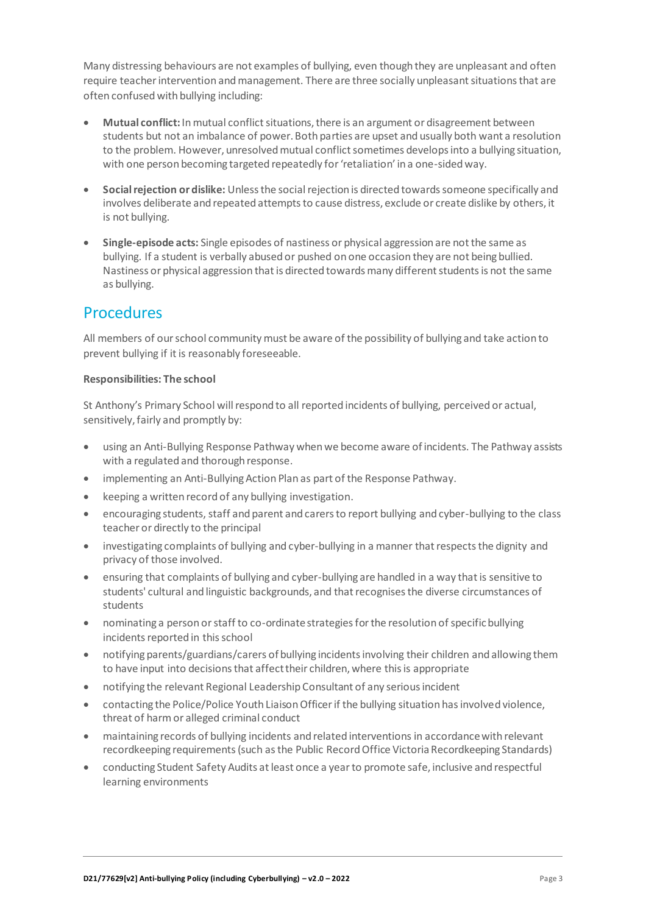Many distressing behaviours are not examples of bullying, even though they are unpleasant and often require teacher intervention and management. There are three socially unpleasant situations that are often confused with bullying including:

- **Mutual conflict:** In mutual conflict situations, there is an argument or disagreement between students but not an imbalance of power. Both parties are upset and usually both want a resolution to the problem. However, unresolved mutual conflict sometimes develops into a bullying situation, with one person becoming targeted repeatedly for 'retaliation' in a one-sided way.
- **Social rejection or dislike:** Unless the social rejection is directed towards someone specifically and involves deliberate and repeated attempts to cause distress, exclude or create dislike by others, it is not bullying.
- **Single-episode acts:** Single episodes of nastiness or physical aggression are not the same as bullying. If a student is verbally abused or pushed on one occasion they are not being bullied. Nastiness or physical aggression that is directed towards many different students is not the same as bullying.

### Procedures

All members of our school community must be aware of the possibility of bullying and take action to prevent bullying if it is reasonably foreseeable.

#### **Responsibilities: The school**

St Anthony's Primary School will respond to all reported incidents of bullying, perceived or actual, sensitively, fairly and promptly by:

- using an Anti-Bullying Response Pathway when we become aware of incidents. The Pathway assists with a regulated and thorough response.
- implementing an Anti-Bullying Action Plan as part of the Response Pathway.
- keeping a written record of any bullying investigation.
- encouraging students, staff and parent and carers to report bullying and cyber-bullying to the class teacher or directly to the principal
- investigating complaints of bullying and cyber-bullying in a manner that respects the dignity and privacy of those involved.
- ensuring that complaints of bullying and cyber-bullying are handled in a way that is sensitive to students' cultural and linguistic backgrounds, and that recognises the diverse circumstances of students
- nominating a person or staff to co-ordinate strategies for the resolution of specific bullying incidents reported in this school
- notifying parents/guardians/carers of bullying incidents involving their children and allowing them to have input into decisions that affect their children, where this is appropriate
- notifying the relevant Regional Leadership Consultant of any serious incident
- contacting the Police/Police Youth Liaison Officer if the bullying situation has involved violence, threat of harm or alleged criminal conduct
- maintaining records of bullying incidents and related interventions in accordance with relevant recordkeeping requirements (such as the Public Record Office Victoria Recordkeeping Standards)
- conducting Student Safety Audits at least once a year to promote safe, inclusive and respectful learning environments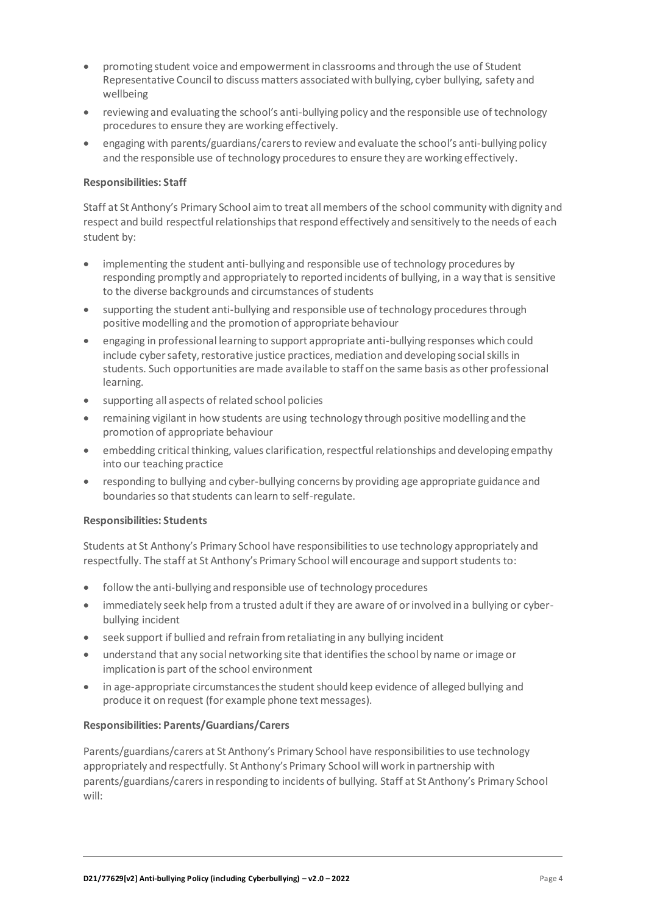- promoting student voice and empowerment in classrooms and through the use of Student Representative Council to discuss matters associated with bullying, cyber bullying, safety and wellbeing
- reviewing and evaluating the school's anti-bullying policy and the responsible use of technology procedures to ensure they are working effectively.
- engaging with parents/guardians/carersto review and evaluate the school's anti-bullying policy and the responsible use of technology procedures to ensure they are working effectively.

#### **Responsibilities: Staff**

Staff at St Anthony's Primary School aim to treat all members of the school community with dignity and respect and build respectful relationships that respond effectively and sensitively to the needs of each student by:

- implementing the student anti-bullying and responsible use of technology procedures by responding promptly and appropriately to reported incidents of bullying, in a way that is sensitive to the diverse backgrounds and circumstances of students
- supporting the student anti-bullying and responsible use of technology procedures through positive modelling and the promotion of appropriate behaviour
- engaging in professional learning to support appropriate anti-bullying responses which could include cyber safety, restorative justice practices, mediation and developing social skills in students. Such opportunities are made available to staff on the same basis as other professional learning.
- supporting all aspects of related school policies
- remaining vigilant in how students are using technology through positive modelling and the promotion of appropriate behaviour
- embedding critical thinking, values clarification, respectful relationships and developing empathy into our teaching practice
- responding to bullying and cyber-bullying concerns by providing age appropriate guidance and boundaries so that students can learn to self-regulate.

#### **Responsibilities: Students**

Students at St Anthony's Primary School have responsibilities to use technology appropriately and respectfully. The staff at St Anthony's Primary School will encourage and support students to:

- follow the anti-bullying and responsible use of technology procedures
- immediately seek help from a trusted adult if they are aware of or involved in a bullying or cyberbullying incident
- seek support if bullied and refrain from retaliating in any bullying incident
- understand that any social networking site that identifies the school by name or image or implication is part of the school environment
- in age-appropriate circumstances the student should keep evidence of alleged bullying and produce it on request (for example phone text messages).

#### **Responsibilities: Parents/Guardians/Carers**

Parents/guardians/carers at St Anthony's Primary School have responsibilities to use technology appropriately and respectfully. St Anthony's Primary School will work in partnership with parents/guardians/carersin responding to incidents of bullying. Staff at St Anthony's Primary School will: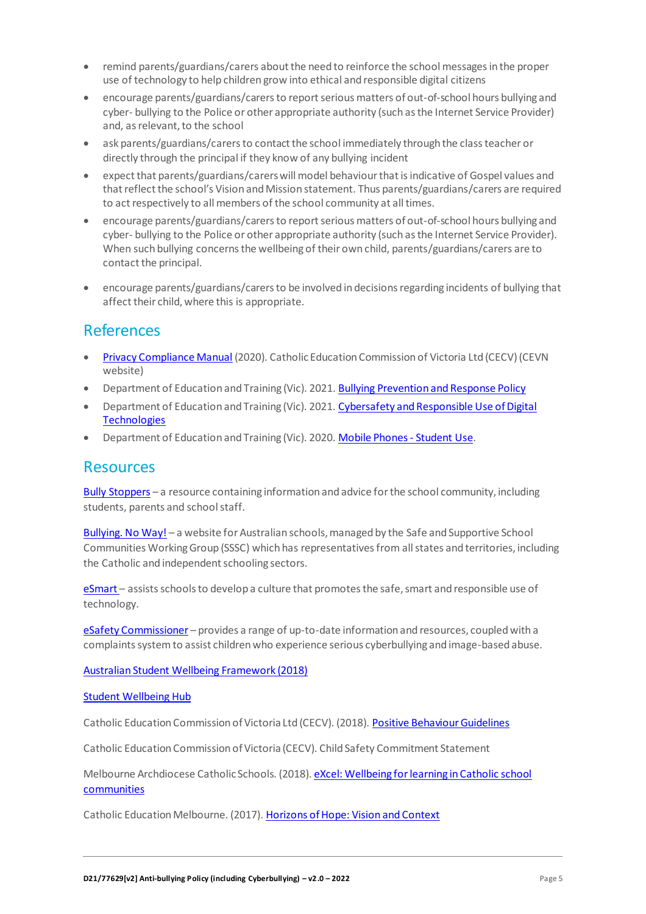- remind parents/guardians/carers about the need to reinforce the school messages in the proper use of technology to help children grow into ethical and responsible digital citizens
- encourage parents/guardians/carersto report serious matters of out-of-school hours bullying and cyber- bullying to the Police or other appropriate authority (such as the Internet Service Provider) and, as relevant, to the school
- ask parents/guardians/carersto contact the school immediately through the class teacher or directly through the principal if they know of any bullying incident
- expect that parents/guardians/carerswill model behaviour that is indicative of Gospel values and that reflect the school's Vision and Mission statement. Thus parents/guardians/carers are required to act respectively to all members of the school community at all times.
- encourage parents/guardians/carersto report serious matters of out-of-school hours bullying and cyber- bullying to the Police or other appropriate authority (such as the Internet Service Provider). When such bullying concerns the wellbeing of their own child, parents/guardians/carers are to contact the principal.
- encourage parents/guardians/carers to be involved in decisions regarding incidents of bullying that affect their child, where this is appropriate.

### References

- [Privacy Compliance Manual](https://cevn.cecv.catholic.edu.au/Melb/Document-File/Polices-Compliance-and-Legal/Privacy/Privacy-Compliance-Manual.aspx) (2020). Catholic Education Commission of Victoria Ltd (CECV) (CEVN website)
- Department of Education and Training (Vic). 2021[. Bullying Prevention and Response Policy](https://www2.education.vic.gov.au/pal/bullying-prevention-response/policy)
- Department of Education and Training (Vic). 2021. Cybersafety and Responsible Use of Digital **[Technologies](https://www2.education.vic.gov.au/pal/cybersafety/policy)**
- Department of Education and Training (Vic). 2020[. Mobile Phones -](https://www2.education.vic.gov.au/pal/students-using-mobile-phones/policy) Student Use.

### **Resources**

Bully [Stoppers](https://www.education.vic.gov.au/about/programs/bullystoppers/Pages/default.aspx) – a resource containing information and advice for the school community, including students, parents and school staff.

[Bullying. No](https://bullyingnoway.gov.au/) Way! – a website for Australian schools, managed by the Safe and Supportive School Communities Working Group (SSSC) which has representatives from all states and territories, including the Catholic and independent schooling sectors.

[eSmart](https://www.education.vic.gov.au/about/programs/bullystoppers/Pages/esmart.aspx) - assists schools to develop a culture that promotes the safe, smart and responsible use of technology.

eSafety [Commissioner](https://www.esafety.gov.au/) – provides a range of up-to-date information and resources, coupled with a complaints system to assist children who experience serious cyberbullying and image-based abuse.

[Australian Student Wellbeing Framework \(2018\)](https://www.studentwellbeinghub.edu.au/docs/default-source/aswf_booklet-pdf.pdf)

#### [Student Wellbeing Hub](https://www.studentwellbeinghub.edu.au/)

Catholic Education Commission of Victoria Ltd (CECV). (2018)[. Positive Behaviour Guidelines](http://www.cecv.catholic.edu.au/getmedia/bc1d235d-9a98-4bb4-b3ac-84b50fa7c639/CECV-Positive-Behaviour-Guidelines_FINAL2.aspx?ext=.pdf)

Catholic Education Commission of Victoria (CECV). Child Safety Commitment Statement

Melbourne Archdiocese Catholic Schools. (2018). eXcel: Wellbeing for learning in Catholic school [communities](https://www.cem.edu.au/Our-Schools/Curriculum-Learning-Programs/Student-Wellbeing/eXcel.aspx)

Catholic Education Melbourne. (2017)[. Horizons of Hope: Vision and Context](https://www.cem.edu.au/Our-Schools/Curriculum-Learning-Programs/Horizons-of-Hope/Vision-Context.aspx)